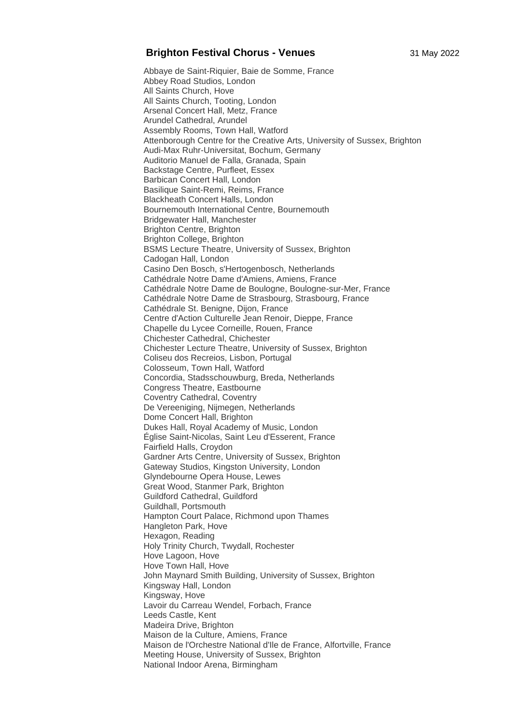## **Brighton Festival Chorus - Venues** 31 May 2022

Abbaye de Saint-Riquier, Baie de Somme, France Abbey Road Studios, London All Saints Church, Hove All Saints Church, Tooting, London Arsenal Concert Hall, Metz, France Arundel Cathedral, Arundel Assembly Rooms, Town Hall, Watford Attenborough Centre for the Creative Arts, University of Sussex, Brighton Audi-Max Ruhr-Universitat, Bochum, Germany Auditorio Manuel de Falla, Granada, Spain Backstage Centre, Purfleet, Essex Barbican Concert Hall, London Basilique Saint-Remi, Reims, France Blackheath Concert Halls, London Bournemouth International Centre, Bournemouth Bridgewater Hall, Manchester Brighton Centre, Brighton Brighton College, Brighton BSMS Lecture Theatre, University of Sussex, Brighton Cadogan Hall, London Casino Den Bosch, s'Hertogenbosch, Netherlands Cathédrale Notre Dame d'Amiens, Amiens, France Cathédrale Notre Dame de Boulogne, Boulogne-sur-Mer, France Cathédrale Notre Dame de Strasbourg, Strasbourg, France Cathédrale St. Benigne, Dijon, France Centre d'Action Culturelle Jean Renoir, Dieppe, France Chapelle du Lycee Corneille, Rouen, France Chichester Cathedral, Chichester Chichester Lecture Theatre, University of Sussex, Brighton Coliseu dos Recreios, Lisbon, Portugal Colosseum, Town Hall, Watford Concordia, Stadsschouwburg, Breda, Netherlands Congress Theatre, Eastbourne Coventry Cathedral, Coventry De Vereeniging, Nijmegen, Netherlands Dome Concert Hall, Brighton Dukes Hall, Royal Academy of Music, London Église Saint-Nicolas, Saint Leu d'Esserent, France Fairfield Halls, Croydon Gardner Arts Centre, University of Sussex, Brighton Gateway Studios, Kingston University, London Glyndebourne Opera House, Lewes Great Wood, Stanmer Park, Brighton Guildford Cathedral, Guildford Guildhall, Portsmouth Hampton Court Palace, Richmond upon Thames Hangleton Park, Hove Hexagon, Reading Holy Trinity Church, Twydall, Rochester Hove Lagoon, Hove Hove Town Hall, Hove John Maynard Smith Building, University of Sussex, Brighton Kingsway Hall, London Kingsway, Hove Lavoir du Carreau Wendel, Forbach, France Leeds Castle, Kent Madeira Drive, Brighton Maison de la Culture, Amiens, France Maison de l'Orchestre National d'Ile de France, Alfortville, France Meeting House, University of Sussex, Brighton National Indoor Arena, Birmingham